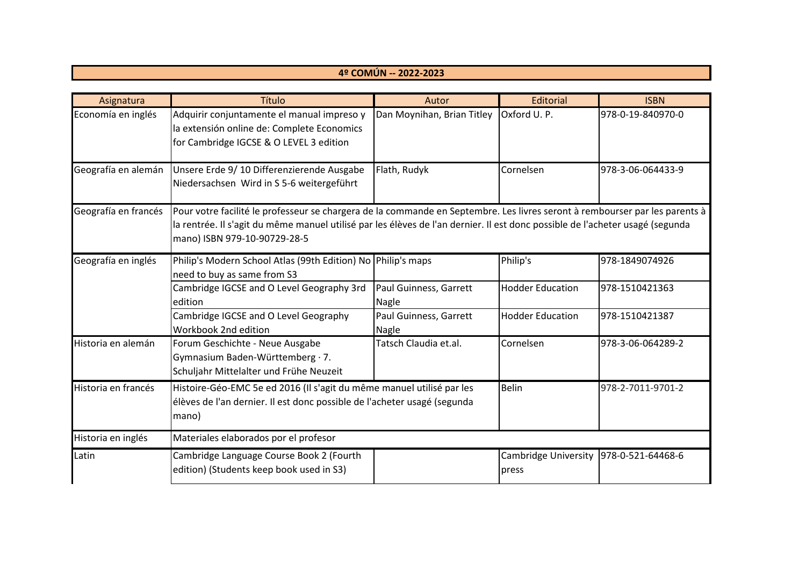## **4º COMÚN -- 2022-2023**

| Asignatura           | Título                                                                                                                                                                                                                                                                                       | Autor                           | <b>Editorial</b>                                | <b>ISBN</b>       |  |
|----------------------|----------------------------------------------------------------------------------------------------------------------------------------------------------------------------------------------------------------------------------------------------------------------------------------------|---------------------------------|-------------------------------------------------|-------------------|--|
| Economía en inglés   | Adquirir conjuntamente el manual impreso y<br>la extensión online de: Complete Economics<br>for Cambridge IGCSE & O LEVEL 3 edition                                                                                                                                                          | Dan Moynihan, Brian Titley      | Oxford U.P.                                     | 978-0-19-840970-0 |  |
| Geografía en alemán  | Unsere Erde 9/10 Differenzierende Ausgabe<br>Niedersachsen Wird in S 5-6 weitergeführt                                                                                                                                                                                                       | Flath, Rudyk                    | Cornelsen                                       | 978-3-06-064433-9 |  |
| Geografía en francés | Pour votre facilité le professeur se chargera de la commande en Septembre. Les livres seront à rembourser par les parents à<br>la rentrée. Il s'agit du même manuel utilisé par les élèves de l'an dernier. Il est donc possible de l'acheter usagé (segunda<br>mano) ISBN 979-10-90729-28-5 |                                 |                                                 |                   |  |
| Geografía en inglés  | Philip's Modern School Atlas (99th Edition) No Philip's maps<br>need to buy as same from S3                                                                                                                                                                                                  |                                 | Philip's                                        | 978-1849074926    |  |
|                      | Cambridge IGCSE and O Level Geography 3rd<br>edition                                                                                                                                                                                                                                         | Paul Guinness, Garrett<br>Nagle | <b>Hodder Education</b>                         | 978-1510421363    |  |
|                      | Cambridge IGCSE and O Level Geography<br>Workbook 2nd edition                                                                                                                                                                                                                                | Paul Guinness, Garrett<br>Nagle | <b>Hodder Education</b>                         | 978-1510421387    |  |
| Historia en alemán   | Forum Geschichte - Neue Ausgabe<br>Gymnasium Baden-Württemberg · 7.<br>Schuljahr Mittelalter und Frühe Neuzeit                                                                                                                                                                               | Tatsch Claudia et.al.           | Cornelsen                                       | 978-3-06-064289-2 |  |
| Historia en francés  | Histoire-Géo-EMC 5e ed 2016 (Il s'agit du même manuel utilisé par les<br>élèves de l'an dernier. Il est donc possible de l'acheter usagé (segunda<br>mano)                                                                                                                                   |                                 | <b>Belin</b>                                    | 978-2-7011-9701-2 |  |
| Historia en inglés   | Materiales elaborados por el profesor                                                                                                                                                                                                                                                        |                                 |                                                 |                   |  |
| Latin                | Cambridge Language Course Book 2 (Fourth<br>edition) (Students keep book used in S3)                                                                                                                                                                                                         |                                 | Cambridge University 978-0-521-64468-6<br>press |                   |  |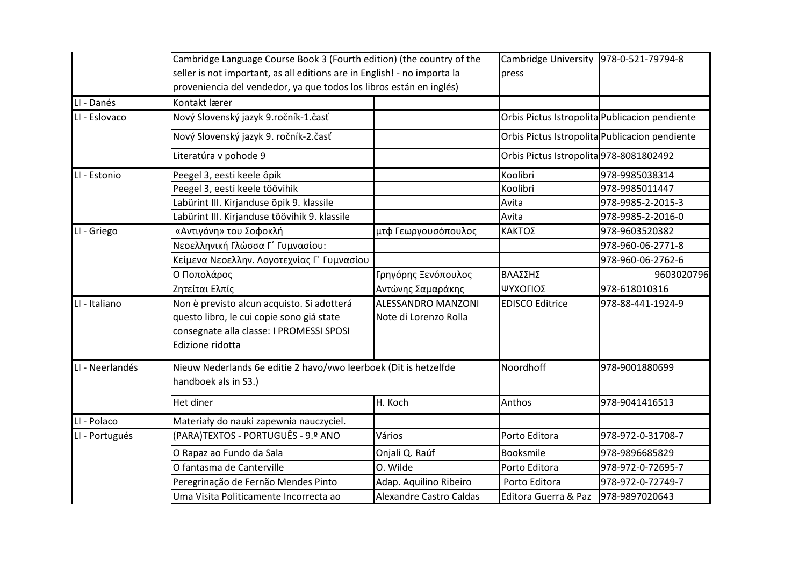|                 | Cambridge Language Course Book 3 (Fourth edition) (the country of the<br>seller is not important, as all editions are in English! - no importa la<br>proveniencia del vendedor, ya que todos los libros están en inglés) |                                                    | Cambridge University 978-0-521-79794-8<br>press |                                                |
|-----------------|--------------------------------------------------------------------------------------------------------------------------------------------------------------------------------------------------------------------------|----------------------------------------------------|-------------------------------------------------|------------------------------------------------|
| LI - Danés      | Kontakt lærer                                                                                                                                                                                                            |                                                    |                                                 |                                                |
| LI - Eslovaco   | Nový Slovenský jazyk 9.ročník-1.časť                                                                                                                                                                                     |                                                    |                                                 | Orbis Pictus Istropolita Publicacion pendiente |
|                 | Nový Slovenský jazyk 9. ročník-2.časť                                                                                                                                                                                    |                                                    |                                                 | Orbis Pictus Istropolita Publicacion pendiente |
|                 | Literatúra v pohode 9                                                                                                                                                                                                    |                                                    | Orbis Pictus Istropolita 978-8081802492         |                                                |
| LI - Estonio    | Peegel 3, eesti keele ôpik                                                                                                                                                                                               |                                                    | Koolibri                                        | 978-9985038314                                 |
|                 | Peegel 3, eesti keele töövihik                                                                                                                                                                                           |                                                    | Koolibri                                        | 978-9985011447                                 |
|                 | Labürint III. Kirjanduse õpik 9. klassile                                                                                                                                                                                |                                                    | Avita                                           | 978-9985-2-2015-3                              |
|                 | Labürint III. Kirjanduse töövihik 9. klassile                                                                                                                                                                            |                                                    | Avita                                           | 978-9985-2-2016-0                              |
| LI - Griego     | «Αντιγόνη» του Σοφοκλή                                                                                                                                                                                                   | μτφ Γεωργουσόπουλος                                | ΚΑΚΤΟΣ                                          | 978-9603520382                                 |
|                 | Νεοελληνική Γλώσσα Γ΄ Γυμνασίου:                                                                                                                                                                                         |                                                    |                                                 | 978-960-06-2771-8                              |
|                 | Κείμενα Νεοελλην. Λογοτεχνίας Γ΄ Γυμνασίου                                                                                                                                                                               |                                                    |                                                 | 978-960-06-2762-6                              |
|                 | Ο Ποπολάρος                                                                                                                                                                                                              | Γρηγόρης Ξενόπουλος                                | ΒΛΑΣΣΗΣ                                         | 9603020796                                     |
|                 | Ζητείται Ελπίς                                                                                                                                                                                                           | Αντώνης Σαμαράκης                                  | ΨΥΧΟΓΙΟΣ                                        | 978-618010316                                  |
| LI - Italiano   | Non è previsto alcun acquisto. Si adotterá<br>questo libro, le cui copie sono giá state<br>consegnate alla classe: I PROMESSI SPOSI<br>Edizione ridotta                                                                  | <b>ALESSANDRO MANZONI</b><br>Note di Lorenzo Rolla | <b>EDISCO Editrice</b>                          | 978-88-441-1924-9                              |
| LI - Neerlandés | Nieuw Nederlands 6e editie 2 havo/vwo leerboek (Dit is hetzelfde<br>handboek als in S3.)                                                                                                                                 |                                                    | Noordhoff                                       | 978-9001880699                                 |
|                 | Het diner                                                                                                                                                                                                                | H. Koch                                            | Anthos                                          | 978-9041416513                                 |
| LI - Polaco     | Materiały do nauki zapewnia nauczyciel.                                                                                                                                                                                  |                                                    |                                                 |                                                |
| LI - Portugués  | (PARA)TEXTOS - PORTUGUÊS - 9.º ANO                                                                                                                                                                                       | Vários                                             | Porto Editora                                   | 978-972-0-31708-7                              |
|                 | O Rapaz ao Fundo da Sala                                                                                                                                                                                                 | Onjali Q. Raúf                                     | Booksmile                                       | 978-9896685829                                 |
|                 | O fantasma de Canterville                                                                                                                                                                                                | O. Wilde                                           | Porto Editora                                   | 978-972-0-72695-7                              |
|                 | Peregrinação de Fernão Mendes Pinto                                                                                                                                                                                      | Adap. Aquilino Ribeiro                             | Porto Editora                                   | 978-972-0-72749-7                              |
|                 | Uma Visita Politicamente Incorrecta ao                                                                                                                                                                                   | <b>Alexandre Castro Caldas</b>                     | Editora Guerra & Paz                            | 978-9897020643                                 |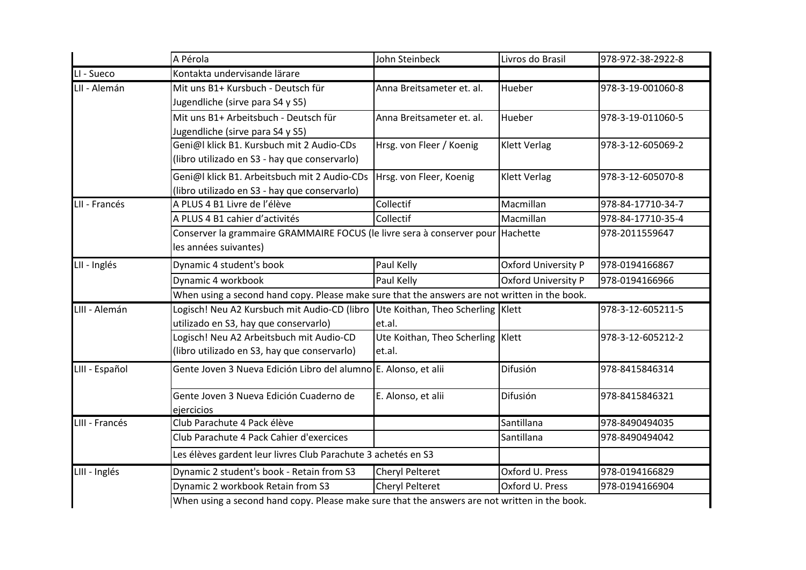|                | A Pérola                                                                                                 | John Steinbeck                                | Livros do Brasil    | 978-972-38-2922-8 |
|----------------|----------------------------------------------------------------------------------------------------------|-----------------------------------------------|---------------------|-------------------|
| LI - Sueco     | Kontakta undervisande lärare                                                                             |                                               |                     |                   |
| LII - Alemán   | Mit uns B1+ Kursbuch - Deutsch für<br>Jugendliche (sirve para S4 y S5)                                   | Anna Breitsameter et. al.                     | Hueber              | 978-3-19-001060-8 |
|                | Mit uns B1+ Arbeitsbuch - Deutsch für<br>Jugendliche (sirve para S4 y S5)                                | Anna Breitsameter et. al.                     | Hueber              | 978-3-19-011060-5 |
|                | Geni@l klick B1. Kursbuch mit 2 Audio-CDs<br>(libro utilizado en S3 - hay que conservarlo)               | Hrsg. von Fleer / Koenig                      | <b>Klett Verlag</b> | 978-3-12-605069-2 |
|                | Geni@l klick B1. Arbeitsbuch mit 2 Audio-CDs<br>(libro utilizado en S3 - hay que conservarlo)            | Hrsg. von Fleer, Koenig                       | <b>Klett Verlag</b> | 978-3-12-605070-8 |
| LII - Francés  | A PLUS 4 B1 Livre de l'élève                                                                             | Collectif                                     | Macmillan           | 978-84-17710-34-7 |
|                | A PLUS 4 B1 cahier d'activités                                                                           | Collectif                                     | Macmillan           | 978-84-17710-35-4 |
|                | Conserver la grammaire GRAMMAIRE FOCUS (le livre sera à conserver pour Hachette<br>les années suivantes) |                                               |                     | 978-2011559647    |
| LII - Inglés   | Dynamic 4 student's book                                                                                 | Paul Kelly                                    | Oxford University P | 978-0194166867    |
|                | Dynamic 4 workbook                                                                                       | Paul Kelly                                    | Oxford University P | 978-0194166966    |
|                | When using a second hand copy. Please make sure that the answers are not written in the book.            |                                               |                     |                   |
| LIII - Alemán  | Logisch! Neu A2 Kursbuch mit Audio-CD (libro<br>utilizado en S3, hay que conservarlo)                    | Ute Koithan, Theo Scherling Klett<br>et.al.   |                     | 978-3-12-605211-5 |
|                | Logisch! Neu A2 Arbeitsbuch mit Audio-CD<br>(libro utilizado en S3, hay que conservarlo)                 | Ute Koithan, Theo Scherling   Klett<br>et.al. |                     | 978-3-12-605212-2 |
| LIII - Español | Gente Joven 3 Nueva Edición Libro del alumno E. Alonso, et alii                                          |                                               | Difusión            | 978-8415846314    |
|                | Gente Joven 3 Nueva Edición Cuaderno de<br>ejercicios                                                    | E. Alonso, et alii                            | Difusión            | 978-8415846321    |
| LIII - Francés | Club Parachute 4 Pack élève                                                                              |                                               | Santillana          | 978-8490494035    |
|                | Club Parachute 4 Pack Cahier d'exercices                                                                 |                                               | Santillana          | 978-8490494042    |
|                | Les élèves gardent leur livres Club Parachute 3 achetés en S3                                            |                                               |                     |                   |
| LIII - Inglés  | Dynamic 2 student's book - Retain from S3                                                                | Cheryl Pelteret                               | Oxford U. Press     | 978-0194166829    |
|                | Dynamic 2 workbook Retain from S3                                                                        | <b>Cheryl Pelteret</b>                        | Oxford U. Press     | 978-0194166904    |